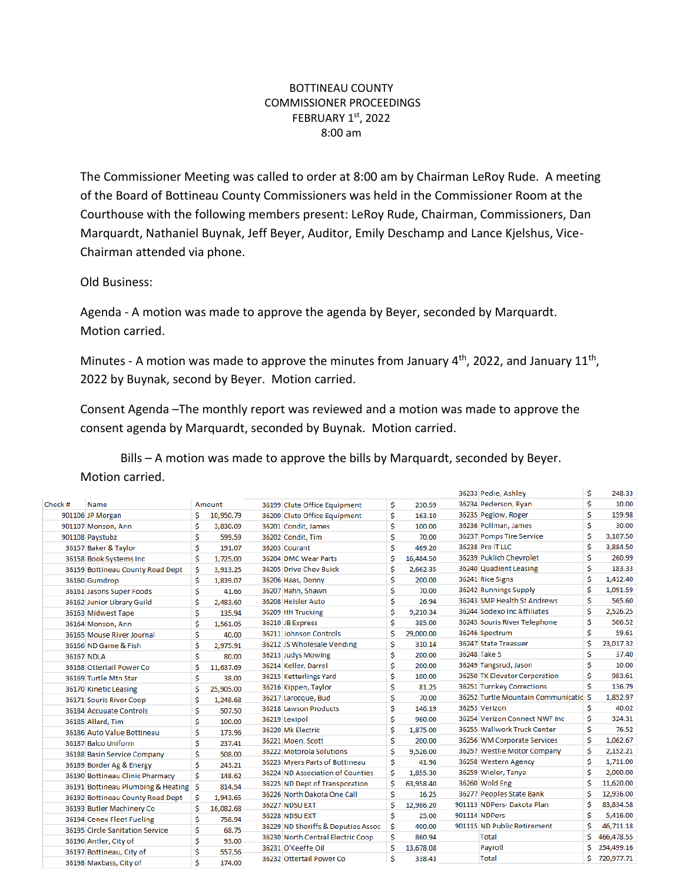## BOTTINEAU COUNTY COMMISSIONER PROCEEDINGS FEBRUARY 1st, 2022 8:00 am

The Commissioner Meeting was called to order at 8:00 am by Chairman LeRoy Rude. A meeting of the Board of Bottineau County Commissioners was held in the Commissioner Room at the Courthouse with the following members present: LeRoy Rude, Chairman, Commissioners, Dan Marquardt, Nathaniel Buynak, Jeff Beyer, Auditor, Emily Deschamp and Lance Kjelshus, Vice-Chairman attended via phone.

Old Business:

Agenda - A motion was made to approve the agenda by Beyer, seconded by Marquardt. Motion carried.

Minutes - A motion was made to approve the minutes from January  $4<sup>th</sup>$ , 2022, and January 11<sup>th</sup>, 2022 by Buynak, second by Beyer. Motion carried.

Consent Agenda –The monthly report was reviewed and a motion was made to approve the consent agenda by Marquardt, seconded by Buynak. Motion carried.

Bills – A motion was made to approve the bills by Marquardt, seconded by Beyer. Motion carried.

|         |                                    |    |           |                                    |    |           | 36233 Pedie, Ashley                   | \$ | 248.33     |
|---------|------------------------------------|----|-----------|------------------------------------|----|-----------|---------------------------------------|----|------------|
| Check # | Name                               |    | Amount    | 36199 Clute Office Equipment       | \$ | 230.59    | 36234 Pederson, Ryan                  | \$ | 10.00      |
|         | 901106 JP Morgan                   | Ś  | 10,950.79 | 36200 Clute Office Equipment       | \$ | 163.10    | 36235 Peglow, Roger                   | Ś  | 159.98     |
|         | 901107 Monson, Ann                 | \$ | 3,830.09  | 36201 Condit, James                | \$ | 100.00    | 36236 Pollman, James                  | Ś  | 30.00      |
|         | 901108 Paystubz                    | \$ | 599.59    | 36202 Condit, Tim                  | \$ | 70.00     | 36237 Pomps Tire Service              | \$ | 3.107.50   |
|         | 36157 Baker & Taylor               | Ś  | 191.07    | 36203 Courant                      | Ś  | 469.20    | 36238 Pro IT LLC                      | \$ | 3,884.50   |
|         | 36158 Book Systems Inc             | Ś  | 1.725.00  | 36204 DMC Wear Parts               | Ś  | 16,484.50 | 36239 Puklich Chevrolet               | Ś  | 260.99     |
|         | 36159 Bottineau County Road Dept   | \$ | 3.913.25  | 36205 Drive Chev Buick             | \$ | 2,662.35  | 36240 Quadient Leasing                | Ś  | 183.33     |
|         | 36160 Gumdrop                      | Ś  | 1.839.07  | 36206 Haas, Donny                  | \$ | 200.00    | 36241 Rice Signs                      | Ś  | 1,412.40   |
|         | 36161 Jasons Super Foods           | \$ | 41.66     | 36207 Hahn, Shawn                  | \$ | 70.00     | 36242 Runnings Supply                 | Ś  | 1,091.59   |
|         | 36162 Junior Library Guild         | \$ | 2.483.60  | 36208 Heisler Auto                 | \$ | 26.94     | 36243 SMP Health St Andrews           | Ś  | 565.60     |
|         | 36163 Midwest Tape                 | \$ | 135.94    | 36209 HH Trucking                  | \$ | 9,210.34  | 36244 Sodexo Inc Affiliates           | Ś  | 2,526.25   |
|         | 36164 Monson, Ann                  | \$ | 1.561.05  | 36210 JB Express                   | \$ | 385.00    | 36245 Souris River Telephone          | Ś  | 506.52     |
|         | 36165 Mouse River Journal          | \$ | 40.00     | 36211 Johnson Controls             | Ś  | 29,000.00 | 36246 Spectrum                        | Ś  | 59.61      |
|         | 36166 ND Game & Fish               | \$ | 2,975.91  | 36212 JS Wholesale Vending         | \$ | 310.14    | 36247 State Treasuer                  | Ś  | 23,017.32  |
|         | 36167 NDLA                         | \$ | 80.00     | 36213 Judys Mowing                 | \$ | 200.00    | 36248 Take 5                          | Ś  | 37.40      |
|         | 36168 Ottertail Power Co           | Ś  | 11,637.69 | 36214 Keller, Darrel               | Ś  | 200.00    | 36249 Tangsrud, Jason                 | \$ | 10.00      |
|         | 36169 Turtle Mtn Star              | Ś  | 38.00     | 36215 Ketterlings Yard             | \$ | 100.00    | 36250 TK Elevator Corporation         | Ś  | 983.61     |
|         | 36170 Kinetic Leasing              | Ś  | 25,905.00 | 36216 Kippen, Taylor               | \$ | 81.25     | 36251 Turnkey Corrections             | Ś  | 136.79     |
|         | 36171 Souris River Coop            | \$ | 1,248.68  | 36217 Larocque, Bud                | \$ | 70.00     | 36252 Turtle Mountain Communicatic \$ |    | 1,852.97   |
|         | 36184 Accuuate Controls            | \$ | 507.50    | 36218 Lawson Products              | \$ | 146.19    | 36253 Verizon                         | Ś  | 40.02      |
|         | 36185 Allard, Tim                  | \$ | 100.00    | 36219 Lexipol                      | Ś  | 960.00    | 36254 Verizon Connect NWF Inc         | Ś  | 324.31     |
|         | 36186 Auto Value Bottineau         | \$ | 173.96    | 36220 Mk Electric                  | \$ | 1,875.00  | 36255 Wallwork Truck Center           | Ś  | 76.52      |
|         | 36187 Balco Uniform                | \$ | 237.41    | 36221 Moen, Scott                  | \$ | 200.00    | 36256 WM Corporate Services           | Ś  | 1,062.67   |
|         | 36188 Basin Service Company        | \$ | 508.00    | 36222 Motorola Solutions           | \$ | 9,526.00  | 36257 Westlie Motor Company           | Ś  | 2,152.21   |
|         | 36189 Border Ag & Energy           | \$ | 243.21    | 36223 Myers Parts of Bottineau     | Ś  | 41.96     | 36258 Western Agency                  | \$ | 1,711.00   |
|         | 36190 Bottineau Clinic Pharmacy    | Ś  | 148.62    | 36224 ND Association of Counties   | \$ | 1,855.30  | 36259 Wieler, Tanya                   | Ś  | 2,000.00   |
|         | 36191 Bottineau Plumbing & Heating | Ŝ  | 814.54    | 36225 ND Dept of Transporation     | Ś  | 63,958.40 | 36260 Wold Eng                        | Ś  | 11,620.00  |
|         | 36192 Bottineau County Road Dept   | S  | 1,943.65  | 36226 North Dakota One Call        | \$ | 16.25     | 36277 Peoples State Bank              | Ś  | 12,936.00  |
|         | 36193 Butler Machinery Co          | \$ | 16,082.68 | <b>36227 NDSU EXT</b>              | Ś  | 12,986.20 | 901113 NDPers- Dakota Plan            | Ś  | 83,834.58  |
|         | 36194 Cenex Fleet Fueling          | \$ | 758.94    | <b>36228 NDSU EXT</b>              | \$ | 25.00     | 901114 NDPers                         | Ś  | 5.416.00   |
|         | 36195 Circle Sanitation Service    | Ś  | 68.75     | 36229 ND Sheriffs & Deputies Assoc | Ŝ  | 400.00    | 901115 ND Public Retirement           | Ś  | 46.711.18  |
|         | 36196 Antler, City of              | \$ | 93.00     | 36230 North Central Electric Coop  | Ś  | 860.94    | <b>Total</b>                          | Ŝ  | 466,478.55 |
|         | 36197 Bottineau, City of           | \$ | 557.56    | 36231 O'Keeffe Oil                 | \$ | 13,678.08 | Payroll                               | Ś  | 254,499.16 |
|         | 36198 Maxbass, City of             | Ś  | 174.00    | 36232 Ottertail Power Co           | Ś  | 338.43    | <b>Total</b>                          | Ś. | 720.977.71 |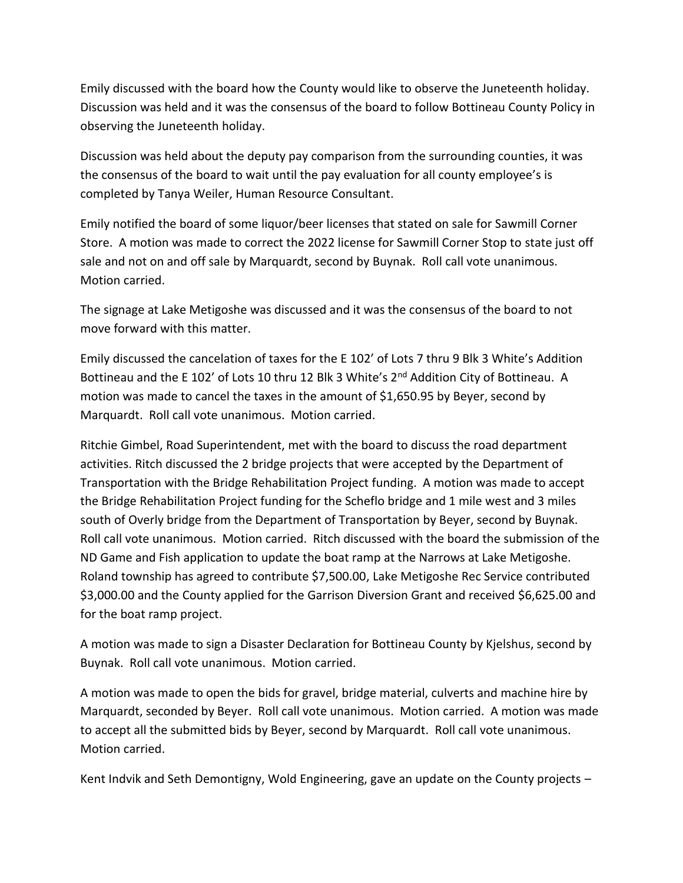Emily discussed with the board how the County would like to observe the Juneteenth holiday. Discussion was held and it was the consensus of the board to follow Bottineau County Policy in observing the Juneteenth holiday.

Discussion was held about the deputy pay comparison from the surrounding counties, it was the consensus of the board to wait until the pay evaluation for all county employee's is completed by Tanya Weiler, Human Resource Consultant.

Emily notified the board of some liquor/beer licenses that stated on sale for Sawmill Corner Store. A motion was made to correct the 2022 license for Sawmill Corner Stop to state just off sale and not on and off sale by Marquardt, second by Buynak. Roll call vote unanimous. Motion carried.

The signage at Lake Metigoshe was discussed and it was the consensus of the board to not move forward with this matter.

Emily discussed the cancelation of taxes for the E 102' of Lots 7 thru 9 Blk 3 White's Addition Bottineau and the E 102' of Lots 10 thru 12 Blk 3 White's 2<sup>nd</sup> Addition City of Bottineau. A motion was made to cancel the taxes in the amount of \$1,650.95 by Beyer, second by Marquardt. Roll call vote unanimous. Motion carried.

Ritchie Gimbel, Road Superintendent, met with the board to discuss the road department activities. Ritch discussed the 2 bridge projects that were accepted by the Department of Transportation with the Bridge Rehabilitation Project funding. A motion was made to accept the Bridge Rehabilitation Project funding for the Scheflo bridge and 1 mile west and 3 miles south of Overly bridge from the Department of Transportation by Beyer, second by Buynak. Roll call vote unanimous. Motion carried. Ritch discussed with the board the submission of the ND Game and Fish application to update the boat ramp at the Narrows at Lake Metigoshe. Roland township has agreed to contribute \$7,500.00, Lake Metigoshe Rec Service contributed \$3,000.00 and the County applied for the Garrison Diversion Grant and received \$6,625.00 and for the boat ramp project.

A motion was made to sign a Disaster Declaration for Bottineau County by Kjelshus, second by Buynak. Roll call vote unanimous. Motion carried.

A motion was made to open the bids for gravel, bridge material, culverts and machine hire by Marquardt, seconded by Beyer. Roll call vote unanimous. Motion carried. A motion was made to accept all the submitted bids by Beyer, second by Marquardt. Roll call vote unanimous. Motion carried.

Kent Indvik and Seth Demontigny, Wold Engineering, gave an update on the County projects –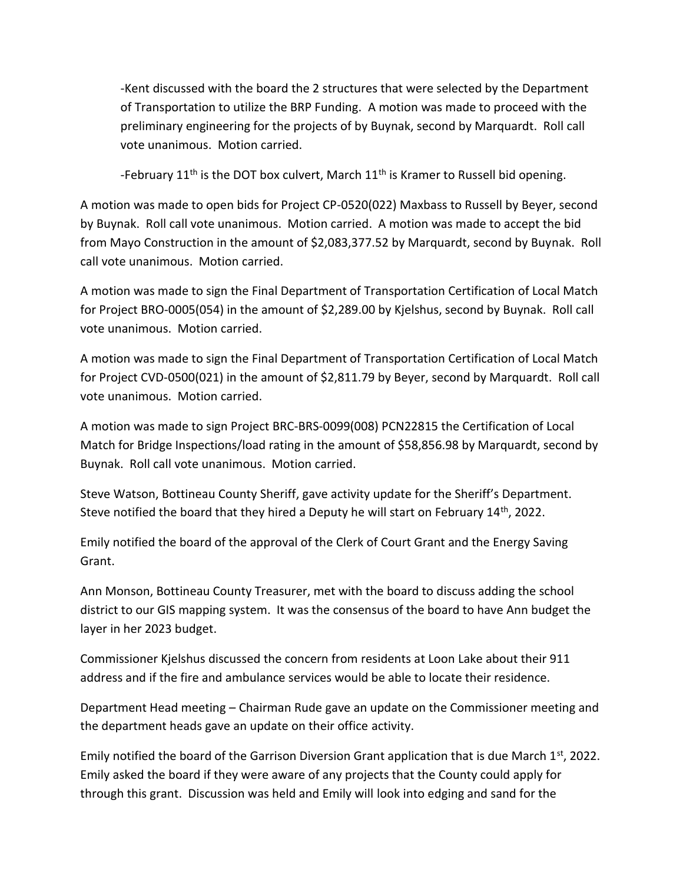-Kent discussed with the board the 2 structures that were selected by the Department of Transportation to utilize the BRP Funding. A motion was made to proceed with the preliminary engineering for the projects of by Buynak, second by Marquardt. Roll call vote unanimous. Motion carried.

-February  $11<sup>th</sup>$  is the DOT box culvert, March  $11<sup>th</sup>$  is Kramer to Russell bid opening.

A motion was made to open bids for Project CP-0520(022) Maxbass to Russell by Beyer, second by Buynak. Roll call vote unanimous. Motion carried. A motion was made to accept the bid from Mayo Construction in the amount of \$2,083,377.52 by Marquardt, second by Buynak. Roll call vote unanimous. Motion carried.

A motion was made to sign the Final Department of Transportation Certification of Local Match for Project BRO-0005(054) in the amount of \$2,289.00 by Kjelshus, second by Buynak. Roll call vote unanimous. Motion carried.

A motion was made to sign the Final Department of Transportation Certification of Local Match for Project CVD-0500(021) in the amount of \$2,811.79 by Beyer, second by Marquardt. Roll call vote unanimous. Motion carried.

A motion was made to sign Project BRC-BRS-0099(008) PCN22815 the Certification of Local Match for Bridge Inspections/load rating in the amount of \$58,856.98 by Marquardt, second by Buynak. Roll call vote unanimous. Motion carried.

Steve Watson, Bottineau County Sheriff, gave activity update for the Sheriff's Department. Steve notified the board that they hired a Deputy he will start on February  $14<sup>th</sup>$ , 2022.

Emily notified the board of the approval of the Clerk of Court Grant and the Energy Saving Grant.

Ann Monson, Bottineau County Treasurer, met with the board to discuss adding the school district to our GIS mapping system. It was the consensus of the board to have Ann budget the layer in her 2023 budget.

Commissioner Kjelshus discussed the concern from residents at Loon Lake about their 911 address and if the fire and ambulance services would be able to locate their residence.

Department Head meeting – Chairman Rude gave an update on the Commissioner meeting and the department heads gave an update on their office activity.

Emily notified the board of the Garrison Diversion Grant application that is due March  $1<sup>st</sup>$ , 2022. Emily asked the board if they were aware of any projects that the County could apply for through this grant. Discussion was held and Emily will look into edging and sand for the